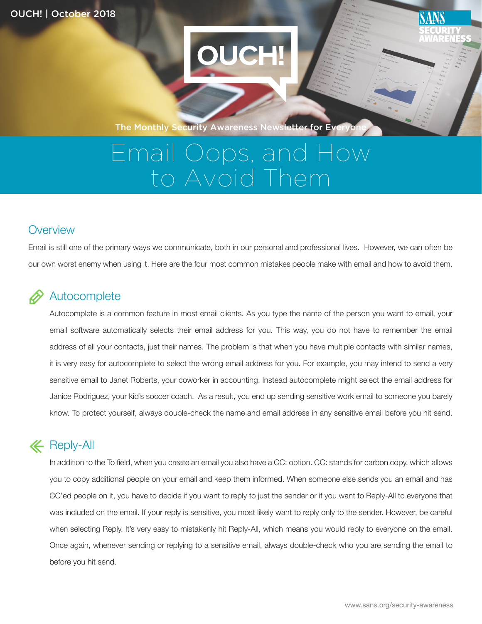

The Monthly Security Awareness Newsletter for Everyon

# Email Oops, and **F** to Avoid Them

#### **Overview**

Email is still one of the primary ways we communicate, both in our personal and professional lives. However, we can often be our own worst enemy when using it. Here are the four most common mistakes people make with email and how to avoid them.

# **Autocomplete**

Autocomplete is a common feature in most email clients. As you type the name of the person you want to email, your email software automatically selects their email address for you. This way, you do not have to remember the email address of all your contacts, just their names. The problem is that when you have multiple contacts with similar names, it is very easy for autocomplete to select the wrong email address for you. For example, you may intend to send a very sensitive email to Janet Roberts, your coworker in accounting. Instead autocomplete might select the email address for Janice Rodriguez, your kid's soccer coach. As a result, you end up sending sensitive work email to someone you barely know. To protect yourself, always double-check the name and email address in any sensitive email before you hit send.

# **K** Reply-All

In addition to the To field, when you create an email you also have a CC: option. CC: stands for carbon copy, which allows you to copy additional people on your email and keep them informed. When someone else sends you an email and has CC'ed people on it, you have to decide if you want to reply to just the sender or if you want to Reply-All to everyone that was included on the email. If your reply is sensitive, you most likely want to reply only to the sender. However, be careful when selecting Reply. It's very easy to mistakenly hit Reply-All, which means you would reply to everyone on the email. Once again, whenever sending or replying to a sensitive email, always double-check who you are sending the email to before you hit send.